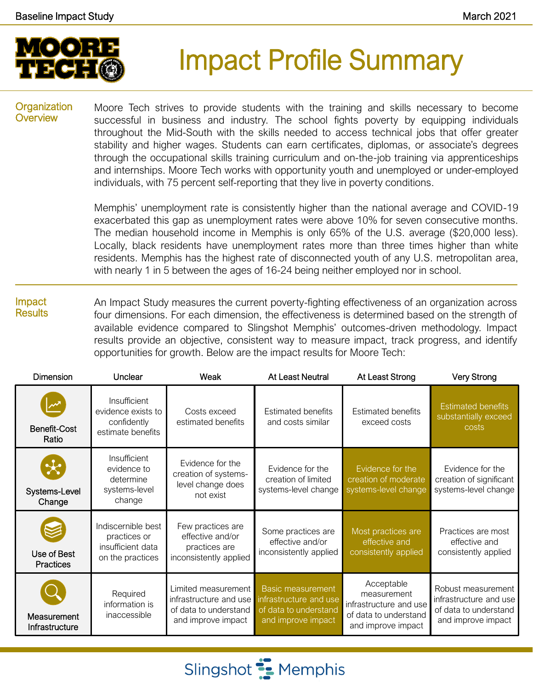

# Impact Profile Summary

#### **Organization Overview**

Moore Tech strives to provide students with the training and skills necessary to become successful in business and industry. The school fights poverty by equipping individuals throughout the Mid-South with the skills needed to access technical jobs that offer greater stability and higher wages. Students can earn certificates, diplomas, or associate's degrees through the occupational skills training curriculum and on-the-job training via apprenticeships and internships. Moore Tech works with opportunity youth and unemployed or under-employed individuals, with 75 percent self-reporting that they live in poverty conditions.

Memphis' unemployment rate is consistently higher than the national average and COVID-19 exacerbated this gap as unemployment rates were above 10% for seven consecutive months. The median household income in Memphis is only 65% of the U.S. average (\$20,000 less). Locally, black residents have unemployment rates more than three times higher than white residents. Memphis has the highest rate of disconnected youth of any U.S. metropolitan area, with nearly 1 in 5 between the ages of 16-24 being neither employed nor in school.

Impact **Results** An Impact Study measures the current poverty-fighting effectiveness of an organization across four dimensions. For each dimension, the effectiveness is determined based on the strength of available evidence compared to Slingshot Memphis' outcomes-driven methodology. Impact results provide an objective, consistent way to measure impact, track progress, and identify opportunities for growth. Below are the impact results for Moore Tech:

| <b>Dimension</b>                | Unclear                                                                     | Weak                                                                                         | At Least Neutral                                                                                  | At Least Strong                                                                                    | <b>Very Strong</b>                                                                          |
|---------------------------------|-----------------------------------------------------------------------------|----------------------------------------------------------------------------------------------|---------------------------------------------------------------------------------------------------|----------------------------------------------------------------------------------------------------|---------------------------------------------------------------------------------------------|
| Benefit-Cost<br>Ratio           | Insufficient<br>evidence exists to<br>confidently<br>estimate benefits      | Costs exceed<br>estimated benefits                                                           | <b>Estimated benefits</b><br>and costs similar                                                    | <b>Estimated benefits</b><br>exceed costs                                                          | <b>Estimated benefits</b><br>substantially exceed<br>costs                                  |
| Systems-Level<br>Change         | Insufficient<br>evidence to<br>determine<br>systems-level<br>change         | Evidence for the<br>creation of systems-<br>level change does<br>not exist                   | Evidence for the<br>creation of limited<br>systems-level change                                   | Evidence for the<br>creation of moderate<br>systems-level change                                   | Evidence for the<br>creation of significant<br>systems-level change                         |
| Use of Best<br><b>Practices</b> | Indiscernible best<br>practices or<br>insufficient data<br>on the practices | Few practices are<br>effective and/or<br>practices are<br>inconsistently applied             | Some practices are<br>effective and/or<br>inconsistently applied                                  | Most practices are<br>effective and<br>consistently applied                                        | Practices are most<br>effective and<br>consistently applied                                 |
| Measurement<br>Infrastructure   | Required<br>information is<br>inaccessible                                  | Limited measurement<br>infrastructure and use<br>of data to understand<br>and improve impact | <b>Basic measurement</b><br>infrastructure and use<br>of data to understand<br>and improve impact | Acceptable<br>measurement<br>infrastructure and use<br>of data to understand<br>and improve impact | Robust measurement<br>infrastructure and use<br>of data to understand<br>and improve impact |

Slingshot **:** Memphis